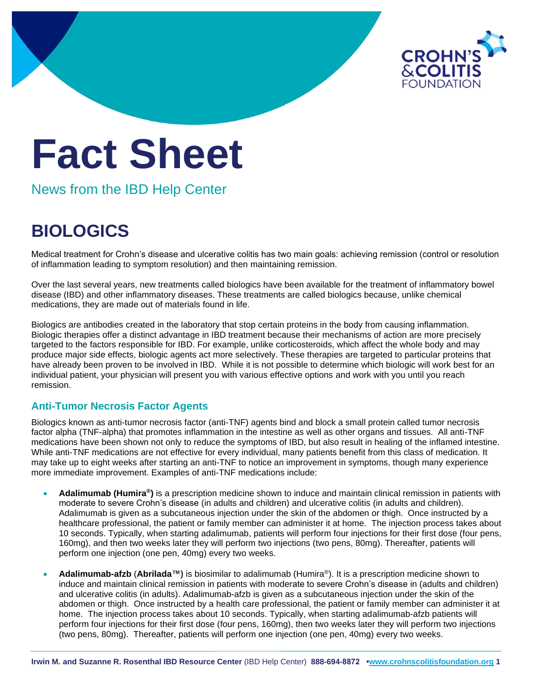

# **Fact Sheet**

News from the IBD Help Center

## **BIOLOGICS**

Medical treatment for Crohn's disease and ulcerative colitis has two main goals: achieving remission (control or resolution of inflammation leading to symptom resolution) and then maintaining remission.

Over the last several years, new treatments called biologics have been available for the treatment of inflammatory bowel disease (IBD) and other inflammatory diseases. These treatments are called biologics because, unlike chemical medications, they are made out of materials found in life.

Biologics are antibodies created in the laboratory that stop certain proteins in the body from causing inflammation. Biologic therapies offer a distinct advantage in IBD treatment because their mechanisms of action are more precisely targeted to the factors responsible for IBD. For example, unlike corticosteroids, which affect the whole body and may produce major side effects, biologic agents act more selectively. These therapies are targeted to particular proteins that have already been proven to be involved in IBD. While it is not possible to determine which biologic will work best for an individual patient, your physician will present you with various effective options and work with you until you reach remission.

### **Anti-Tumor Necrosis Factor Agents**

Biologics known as anti-tumor necrosis factor (anti-TNF) agents bind and block a small protein called tumor necrosis factor alpha (TNF-alpha) that promotes inflammation in the intestine as well as other organs and tissues. All anti-TNF medications have been shown not only to reduce the symptoms of IBD, but also result in healing of the inflamed intestine. While anti-TNF medications are not effective for every individual, many patients benefit from this class of medication. It may take up to eight weeks after starting an anti-TNF to notice an improvement in symptoms, though many experience more immediate improvement. Examples of anti-TNF medications include:

- **Adalimumab (Humira®)** is a prescription medicine shown to induce and maintain clinical remission in patients with moderate to severe Crohn's disease (in adults and children) and ulcerative colitis (in adults and children). Adalimumab is given as a subcutaneous injection under the skin of the abdomen or thigh. Once instructed by a healthcare professional, the patient or family member can administer it at home. The injection process takes about 10 seconds. Typically, when starting adalimumab, patients will perform four injections for their first dose (four pens, 160mg), and then two weeks later they will perform two injections (two pens, 80mg). Thereafter, patients will perform one injection (one pen, 40mg) every two weeks.
- **Adalimumab-afzb** (**Abrilada™)** is biosimilar to adalimumab (Humira®). It is a prescription medicine shown to induce and maintain clinical remission in patients with moderate to severe Crohn's disease in (adults and children) and ulcerative colitis (in adults). Adalimumab-afzb is given as a subcutaneous injection under the skin of the abdomen or thigh. Once instructed by a health care professional, the patient or family member can administer it at home. The injection process takes about 10 seconds. Typically, when starting adalimumab-afzb patients will perform four injections for their first dose (four pens, 160mg), then two weeks later they will perform two injections (two pens, 80mg). Thereafter, patients will perform one injection (one pen, 40mg) every two weeks.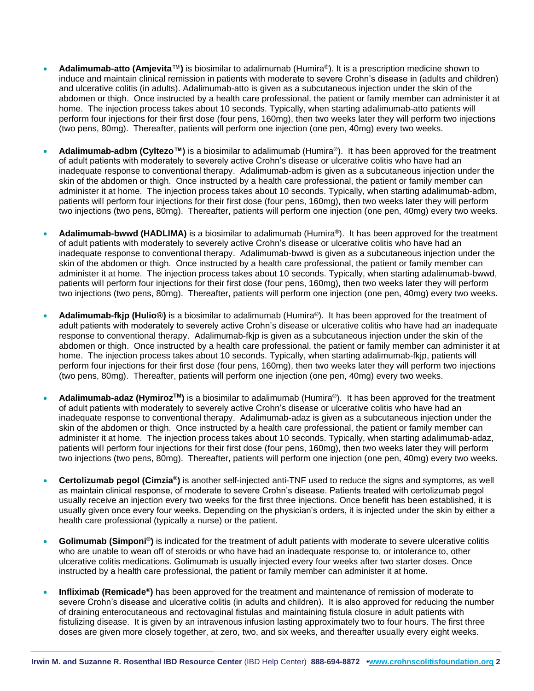- **Adalimumab-atto (Amjevita**™**)** is biosimilar to adalimumab (Humira®). It is a prescription medicine shown to induce and maintain clinical remission in patients with moderate to severe Crohn's disease in (adults and children) and ulcerative colitis (in adults). Adalimumab-atto is given as a subcutaneous injection under the skin of the abdomen or thigh. Once instructed by a health care professional, the patient or family member can administer it at home. The injection process takes about 10 seconds. Typically, when starting adalimumab-atto patients will perform four injections for their first dose (four pens, 160mg), then two weeks later they will perform two injections (two pens, 80mg). Thereafter, patients will perform one injection (one pen, 40mg) every two weeks.
- **Adalimumab-adbm (Cyltezo™)** is a biosimilar to adalimumab (Humira®). It has been approved for the treatment of adult patients with moderately to severely active Crohn's disease or ulcerative colitis who have had an inadequate response to conventional therapy. Adalimumab-adbm is given as a subcutaneous injection under the skin of the abdomen or thigh. Once instructed by a health care professional, the patient or family member can administer it at home. The injection process takes about 10 seconds. Typically, when starting adalimumab-adbm, patients will perform four injections for their first dose (four pens, 160mg), then two weeks later they will perform two injections (two pens, 80mg). Thereafter, patients will perform one injection (one pen, 40mg) every two weeks.
- **Adalimumab-bwwd (HADLIMA)** is a biosimilar to adalimumab (Humira®). It has been approved for the treatment of adult patients with moderately to severely active Crohn's disease or ulcerative colitis who have had an inadequate response to conventional therapy. Adalimumab-bwwd is given as a subcutaneous injection under the skin of the abdomen or thigh. Once instructed by a health care professional, the patient or family member can administer it at home. The injection process takes about 10 seconds. Typically, when starting adalimumab-bwwd, patients will perform four injections for their first dose (four pens, 160mg), then two weeks later they will perform two injections (two pens, 80mg). Thereafter, patients will perform one injection (one pen, 40mg) every two weeks.
- **Adalimumab-fkjp (Hulio®)** is a biosimilar to adalimumab (Humira®). It has been approved for the treatment of adult patients with moderately to severely active Crohn's disease or ulcerative colitis who have had an inadequate response to conventional therapy. Adalimumab-fkjp is given as a subcutaneous injection under the skin of the abdomen or thigh. Once instructed by a health care professional, the patient or family member can administer it at home. The injection process takes about 10 seconds. Typically, when starting adalimumab-fkjp, patients will perform four injections for their first dose (four pens, 160mg), then two weeks later they will perform two injections (two pens, 80mg). Thereafter, patients will perform one injection (one pen, 40mg) every two weeks.
- **Adalimumab-adaz (HymirozTM)** is a biosimilar to adalimumab (Humira®). It has been approved for the treatment of adult patients with moderately to severely active Crohn's disease or ulcerative colitis who have had an inadequate response to conventional therapy. Adalimumab-adaz is given as a subcutaneous injection under the skin of the abdomen or thigh. Once instructed by a health care professional, the patient or family member can administer it at home. The injection process takes about 10 seconds. Typically, when starting adalimumab-adaz, patients will perform four injections for their first dose (four pens, 160mg), then two weeks later they will perform two injections (two pens, 80mg). Thereafter, patients will perform one injection (one pen, 40mg) every two weeks.
- **Certolizumab pegol (Cimzia®)** is another self-injected anti-TNF used to reduce the signs and symptoms, as well as maintain clinical response, of moderate to severe Crohn's disease. Patients treated with certolizumab pegol usually receive an injection every two weeks for the first three injections. Once benefit has been established, it is usually given once every four weeks. Depending on the physician's orders, it is injected under the skin by either a health care professional (typically a nurse) or the patient.
- **Golimumab (Simponi®)** is indicated for the treatment of adult patients with moderate to severe ulcerative colitis who are unable to wean off of steroids or who have had an inadequate response to, or intolerance to, other ulcerative colitis medications. Golimumab is usually injected every four weeks after two starter doses. Once instructed by a health care professional, the patient or family member can administer it at home.
- **Infliximab (Remicade®)** has been approved for the treatment and maintenance of remission of moderate to severe Crohn's disease and ulcerative colitis (in adults and children). It is also approved for reducing the number of draining enterocutaneous and rectovaginal fistulas and maintaining fistula closure in adult patients with fistulizing disease. It is given by an intravenous infusion lasting approximately two to four hours. The first three doses are given more closely together, at zero, two, and six weeks, and thereafter usually every eight weeks.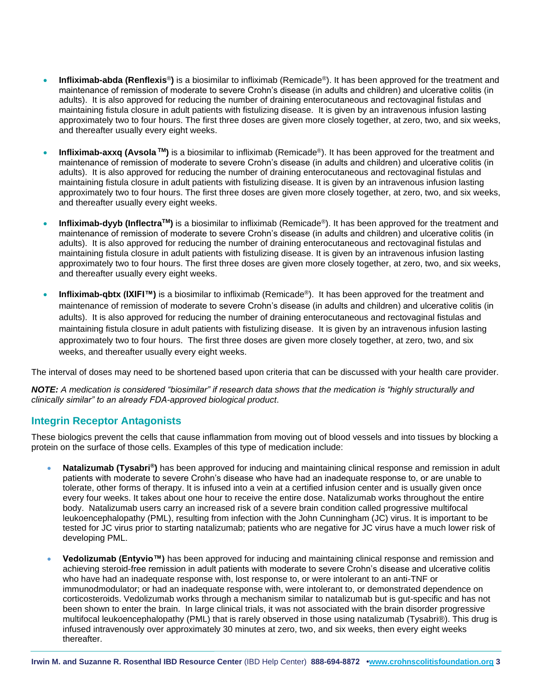- **Infliximab-abda (Renflexis**®**)** is a biosimilar to infliximab (Remicade®). It has been approved for the treatment and maintenance of remission of moderate to severe Crohn's disease (in adults and children) and ulcerative colitis (in adults). It is also approved for reducing the number of draining enterocutaneous and rectovaginal fistulas and maintaining fistula closure in adult patients with fistulizing disease. It is given by an intravenous infusion lasting approximately two to four hours. The first three doses are given more closely together, at zero, two, and six weeks, and thereafter usually every eight weeks.
- **Infliximab-axxq (Avsola TM)** is a biosimilar to infliximab (Remicade®). It has been approved for the treatment and maintenance of remission of moderate to severe Crohn's disease (in adults and children) and ulcerative colitis (in adults). It is also approved for reducing the number of draining enterocutaneous and rectovaginal fistulas and maintaining fistula closure in adult patients with fistulizing disease. It is given by an intravenous infusion lasting approximately two to four hours. The first three doses are given more closely together, at zero, two, and six weeks, and thereafter usually every eight weeks.
- **Infliximab-dyyb (InflectraTM)** is a biosimilar to infliximab (Remicade®). It has been approved for the treatment and maintenance of remission of moderate to severe Crohn's disease (in adults and children) and ulcerative colitis (in adults). It is also approved for reducing the number of draining enterocutaneous and rectovaginal fistulas and maintaining fistula closure in adult patients with fistulizing disease. It is given by an intravenous infusion lasting approximately two to four hours. The first three doses are given more closely together, at zero, two, and six weeks, and thereafter usually every eight weeks.
- **Infliximab-qbtx (IXIFI™)** is a biosimilar to infliximab (Remicade®). It has been approved for the treatment and maintenance of remission of moderate to severe Crohn's disease (in adults and children) and ulcerative colitis (in adults). It is also approved for reducing the number of draining enterocutaneous and rectovaginal fistulas and maintaining fistula closure in adult patients with fistulizing disease. It is given by an intravenous infusion lasting approximately two to four hours. The first three doses are given more closely together, at zero, two, and six weeks, and thereafter usually every eight weeks.

The interval of doses may need to be shortened based upon criteria that can be discussed with your health care provider.

*NOTE: A medication is considered "biosimilar" if research data shows that the medication is "highly structurally and clinically similar" to an already FDA-approved biological product*.

#### **Integrin Receptor Antagonists**

These biologics prevent the cells that cause inflammation from moving out of blood vessels and into tissues by blocking a protein on the surface of those cells. Examples of this type of medication include:

- **Natalizumab (Tysabri®)** has been approved for inducing and maintaining clinical response and remission in adult patients with moderate to severe Crohn's disease who have had an inadequate response to, or are unable to tolerate, other forms of therapy. It is infused into a vein at a certified infusion center and is usually given once every four weeks. It takes about one hour to receive the entire dose. Natalizumab works throughout the entire body. Natalizumab users carry an increased risk of a severe brain condition called progressive multifocal leukoencephalopathy (PML), resulting from infection with the John Cunningham (JC) virus. It is important to be tested for JC virus prior to starting natalizumab; patients who are negative for JC virus have a much lower risk of developing PML.
- **Vedolizumab (Entyvio™)** has been approved for inducing and maintaining clinical response and remission and achieving steroid-free remission in adult patients with moderate to severe Crohn's disease and ulcerative colitis who have had an inadequate response with, lost response to, or were intolerant to an anti-TNF or immunodmodulator; or had an inadequate response with, were intolerant to, or demonstrated dependence on corticosteroids. Vedolizumab works through a mechanism similar to natalizumab but is gut-specific and has not been shown to enter the brain. In large clinical trials, it was not associated with the brain disorder progressive multifocal leukoencephalopathy (PML) that is rarely observed in those using natalizumab (Tysabri®). This drug is infused intravenously over approximately 30 minutes at zero, two, and six weeks, then every eight weeks thereafter.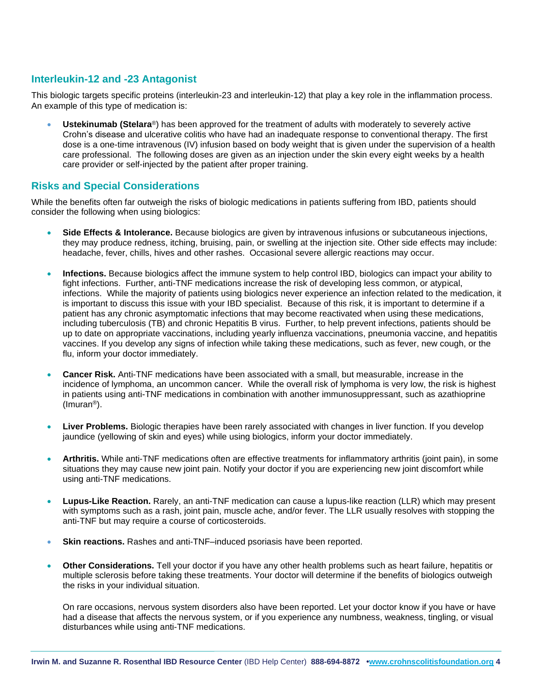#### **Interleukin-12 and -23 Antagonist**

This biologic targets specific proteins (interleukin-23 and interleukin-12) that play a key role in the inflammation process. An example of this type of medication is:

• **Ustekinumab (Stelara**®) has been approved for the treatment of adults with moderately to severely active Crohn's disease and ulcerative colitis who have had an inadequate response to conventional therapy. The first dose is a one-time intravenous (IV) infusion based on body weight that is given under the supervision of a health care professional. The following doses are given as an injection under the skin every eight weeks by a health care provider or self-injected by the patient after proper training.

#### **Risks and Special Considerations**

While the benefits often far outweigh the risks of biologic medications in patients suffering from IBD, patients should consider the following when using biologics:

- **Side Effects & Intolerance.** Because biologics are given by intravenous infusions or subcutaneous injections, they may produce redness, itching, bruising, pain, or swelling at the injection site. Other side effects may include: headache, fever, chills, hives and other rashes. Occasional severe allergic reactions may occur.
- **Infections.** Because biologics affect the immune system to help control IBD, biologics can impact your ability to fight infections. Further, anti-TNF medications increase the risk of developing less common, or atypical, infections. While the majority of patients using biologics never experience an infection related to the medication, it is important to discuss this issue with your IBD specialist. Because of this risk, it is important to determine if a patient has any chronic asymptomatic infections that may become reactivated when using these medications, including tuberculosis (TB) and chronic Hepatitis B virus. Further, to help prevent infections, patients should be up to date on appropriate vaccinations, including yearly influenza vaccinations, pneumonia vaccine, and hepatitis vaccines. If you develop any signs of infection while taking these medications, such as fever, new cough, or the flu, inform your doctor immediately.
- **Cancer Risk.** Anti-TNF medications have been associated with a small, but measurable, increase in the incidence of lymphoma, an uncommon cancer. While the overall risk of lymphoma is very low, the risk is highest in patients using anti-TNF medications in combination with another immunosuppressant, such as azathioprine (Imuran®).
- Liver Problems. Biologic therapies have been rarely associated with changes in liver function. If you develop jaundice (yellowing of skin and eyes) while using biologics, inform your doctor immediately.
- **Arthritis.** While anti-TNF medications often are effective treatments for inflammatory arthritis (joint pain), in some situations they may cause new joint pain. Notify your doctor if you are experiencing new joint discomfort while using anti-TNF medications.
- **Lupus-Like Reaction.** Rarely, an anti-TNF medication can cause a lupus-like reaction (LLR) which may present with symptoms such as a rash, joint pain, muscle ache, and/or fever. The LLR usually resolves with stopping the anti-TNF but may require a course of corticosteroids.
- **Skin reactions.** Rashes and anti-TNF–induced psoriasis have been reported.
- **Other Considerations.** Tell your doctor if you have any other health problems such as heart failure, hepatitis or multiple sclerosis before taking these treatments. Your doctor will determine if the benefits of biologics outweigh the risks in your individual situation.

On rare occasions, nervous system disorders also have been reported. Let your doctor know if you have or have had a disease that affects the nervous system, or if you experience any numbness, weakness, tingling, or visual disturbances while using anti-TNF medications.